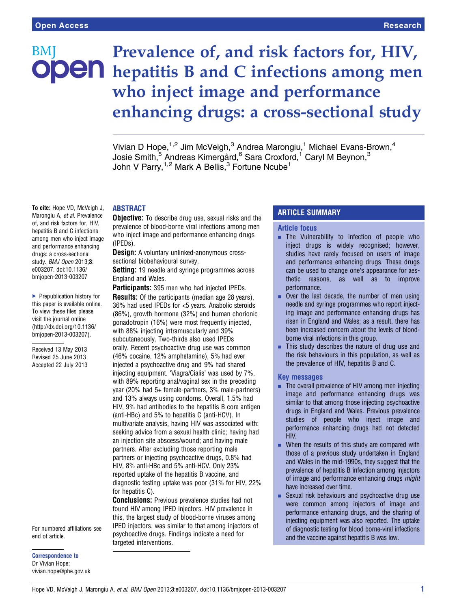# Prevalence of, and risk factors for, HIV, BM. **DEN** hepatitis B and C infections among men who inject image and performance enhancing drugs: a cross-sectional study

Vivian D Hope,  $1,2$  Jim McVeigh,  $3$  Andrea Marongiu,  $1$  Michael Evans-Brown,  $4$ Josie Smith,<sup>5</sup> Andreas Kimergård,<sup>6</sup> Sara Croxford,<sup>1</sup> Caryl M Beynon,<sup>3</sup> John V Parry, <sup>1,2</sup> Mark A Bellis,<sup>3</sup> Fortune Ncube<sup>1</sup>

## ABSTRACT

**Objective:** To describe drug use, sexual risks and the prevalence of blood-borne viral infections among men who inject image and performance enhancing drugs (IPEDs).

Design: A voluntary unlinked-anonymous crosssectional biobehavioural survey.

**Setting:** 19 needle and syringe programmes across England and Wales.

Participants: 395 men who had injected IPEDs.

**Results:** Of the participants (median age 28 years), 36% had used IPEDs for <5 years. Anabolic steroids (86%), growth hormone (32%) and human chorionic gonadotropin (16%) were most frequently injected, with 88% injecting intramuscularly and 39% subcutaneously. Two-thirds also used IPEDs orally. Recent psychoactive drug use was common (46% cocaine, 12% amphetamine), 5% had ever injected a psychoactive drug and 9% had shared injecting equipment. 'Viagra/Cialis' was used by 7%, with 89% reporting anal/vaginal sex in the preceding year (20% had 5+ female-partners, 3% male-partners) and 13% always using condoms. Overall, 1.5% had HIV, 9% had antibodies to the hepatitis B core antigen (anti-HBc) and 5% to hepatitis C (anti-HCV). In multivariate analysis, having HIV was associated with: seeking advice from a sexual health clinic; having had an injection site abscess/wound; and having male partners. After excluding those reporting male partners or injecting psychoactive drugs, 0.8% had HIV, 8% anti-HBc and 5% anti-HCV. Only 23% reported uptake of the hepatitis B vaccine, and diagnostic testing uptake was poor (31% for HIV, 22% for hepatitis C).

**Conclusions:** Previous prevalence studies had not found HIV among IPED injectors. HIV prevalence in this, the largest study of blood-borne viruses among IPED injectors, was similar to that among injectors of psychoactive drugs. Findings indicate a need for targeted interventions.

## ARTICLE SUMMARY

#### Article focus

- $\blacksquare$  The Vulnerability to infection of people who inject drugs is widely recognised; however, studies have rarely focused on users of image and performance enhancing drugs. These drugs can be used to change one's appearance for aesthetic reasons, as well as to improve performance.
- Over the last decade, the number of men using needle and syringe programmes who report injecting image and performance enhancing drugs has risen in England and Wales; as a result, there has been increased concern about the levels of bloodborne viral infections in this group.
- $\blacksquare$  This study describes the nature of drug use and the risk behaviours in this population, as well as the prevalence of HIV, hepatitis B and C.

## Key messages

- $\blacksquare$  The overall prevalence of HIV among men injecting image and performance enhancing drugs was similar to that among those injecting psychoactive drugs in England and Wales. Previous prevalence studies of people who inject image and performance enhancing drugs had not detected HIV.
- $\blacksquare$  When the results of this study are compared with those of a previous study undertaken in England and Wales in the mid-1990s, they suggest that the prevalence of hepatitis B infection among injectors of image and performance enhancing drugs *might* have increased over time.
- Sexual risk behaviours and psychoactive drug use were common among injectors of image and performance enhancing drugs, and the sharing of injecting equipment was also reported. The uptake of diagnostic testing for blood borne-viral infections and the vaccine against hepatitis B was low.

Marongiu A, et al. Prevalence of, and risk factors for, HIV, hepatitis B and C infections among men who inject image and performance enhancing drugs: a cross-sectional study. BMJ Open 2013;3: e003207. doi:10.1136/ bmjopen-2013-003207

To cite: Hope VD, McVeigh J,

▶ Prepublication history for this paper is available online. To view these files please visit the journal online [\(http://dx.doi.org/10.1136/](http://dx.doi.org/10.1136/bmjopen-2013-003207) [bmjopen-2013-003207](http://dx.doi.org/10.1136/bmjopen-2013-003207)).

Received 13 May 2013 Revised 25 June 2013 Accepted 22 July 2013

For numbered affiliations see end of article.

Correspondence to Dr Vivian Hope; vivian.hope@phe.gov.uk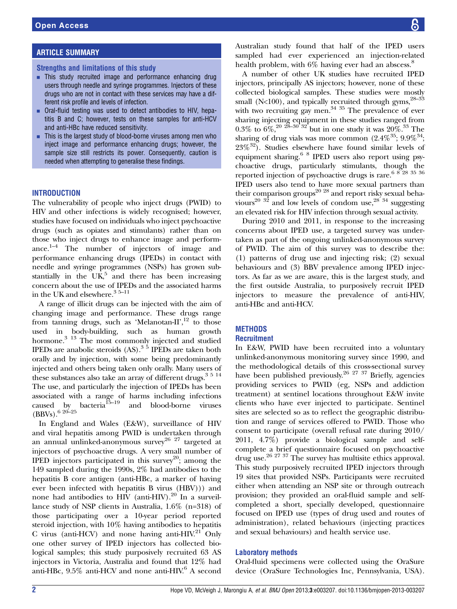## ARTICLE SUMMARY

#### Strengths and limitations of this study

- **EXECUTE:** This study recruited image and performance enhancing drug users through needle and syringe programmes. Injectors of these drugs who are not in contact with these services may have a different risk profile and levels of infection.
- Oral-fluid testing was used to detect antibodies to HIV, hepatitis B and C; however, tests on these samples for anti-HCV and anti-HBc have reduced sensitivity.
- **This is the largest study of blood-borne viruses among men who** inject image and performance enhancing drugs; however, the sample size still restricts its power. Consequently, caution is needed when attempting to generalise these findings.

#### **INTRODUCTION**

The vulnerability of people who inject drugs (PWID) to HIV and other infections is widely recognised; however, studies have focused on individuals who inject psychoactive drugs (such as opiates and stimulants) rather than on those who inject drugs to enhance image and performance. <sup>1</sup>–<sup>4</sup> The number of injectors of image and performance enhancing drugs (IPEDs) in contact with needle and syringe programmes (NSPs) has grown substantially in the  $UK<sup>5</sup>$  and there has been increasing concern about the use of IPEDs and the associated harms in the UK and elsewhere.  $\rm ^{3}$  5–11

A range of illicit drugs can be injected with the aim of changing image and performance. These drugs range from tanning drugs, such as 'Melanotan-II',<sup>12</sup> to those used in body-building, such as human growth hormone.<sup>3</sup> <sup>13</sup> The most commonly injected and studied IPEDs are anabolic steroids  $(AS)$ .<sup>3 5</sup> IPEDs are taken both orally and by injection, with some being predominantly injected and others being taken only orally. Many users of these substances also take an array of different drugs. $3\,5\,14$ The use, and particularly the injection of IPEDs has been associated with a range of harms including infections caused by bacteria<sup>15–19</sup> and blood-borne viruses  $(BBVs).^{6}$  20–25

In England and Wales (E&W), surveillance of HIV and viral hepatitis among PWID is undertaken through an annual unlinked-anonymous survey<sup>26 27</sup> targeted at injectors of psychoactive drugs. A very small number of IPED injectors participated in this survey<sup>20</sup>; among the 149 sampled during the 1990s, 2% had antibodies to the hepatitis B core antigen (anti-HBc, a marker of having ever been infected with hepatitis B virus (HBV))) and none had antibodies to HIV (anti-HIV).<sup>20</sup> In a surveillance study of NSP clients in Australia, 1.6% (n=318) of those participating over a 10-year period reported steroid injection, with 10% having antibodies to hepatitis C virus (anti-HCV) and none having anti-HIV.<sup>21</sup> Only one other survey of IPED injectors has collected biological samples; this study purposively recruited 63 AS injectors in Victoria, Australia and found that 12% had anti-HBc,  $9.5\%$  anti-HCV and none anti-HIV. $^{6}$  A second

Australian study found that half of the IPED users sampled had ever experienced an injection-related health problem, with 6% having ever had an abscess.<sup>8</sup>

A number of other UK studies have recruited IPED injectors, principally AS injectors; however, none of these collected biological samples. These studies were mostly small (N<100), and typically recruited through gyms, $28-33$ with two recruiting gay men. $34 \frac{35}{10}$  The prevalence of ever sharing injecting equipment in these studies ranged from 0.3% to  $6\%$ ,  $20\%$   $28-30\%$  but in one study it was  $20\%$ .<sup>33</sup> The sharing of drug vials was more common  $(2.4\%^{35}; 9.9\%^{34};$  $23\%$ <sup>32</sup>). Studies elsewhere have found similar levels of equipment sharing.6 8 IPED users also report using psychoactive drugs, particularly stimulants, though the reported injection of psychoactive drugs is rare.6 8 28 35 36 IPED users also tend to have more sexual partners than their comparison groups<sup>20 28</sup> and report risky sexual behaviours<sup>20 32</sup> and low levels of condom use,  $28^{34}$  suggesting an elevated risk for HIV infection through sexual activity.

During 2010 and 2011, in response to the increasing concerns about IPED use, a targeted survey was undertaken as part of the ongoing unlinked-anonymous survey of PWID. The aim of this survey was to describe the: (1) patterns of drug use and injecting risk; (2) sexual behaviours and (3) BBV prevalence among IPED injectors. As far as we are aware, this is the largest study, and the first outside Australia, to purposively recruit IPED injectors to measure the prevalence of anti-HIV, anti-HBc and anti-HCV.

#### **METHODS**

#### **Recruitment**

In E&W, PWID have been recruited into a voluntary unlinked-anonymous monitoring survey since 1990, and the methodological details of this cross-sectional survey have been published previously.<sup>26 27 37</sup> Briefly, agencies providing services to PWID (eg, NSPs and addiction treatment) at sentinel locations throughout E&W invite clients who have ever injected to participate. Sentinel sites are selected so as to reflect the geographic distribution and range of services offered to PWID. Those who consent to participate (overall refusal rate during 2010/ 2011, 4.7%) provide a biological sample and selfcomplete a brief questionnaire focused on psychoactive drug use.26 27 37 The survey has multisite ethics approval. This study purposively recruited IPED injectors through 19 sites that provided NSPs. Participants were recruited either when attending an NSP site or through outreach provision; they provided an oral-fluid sample and selfcompleted a short, specially developed, questionnaire focused on IPED use (types of drug used and routes of administration), related behaviours (injecting practices and sexual behaviours) and health service use.

#### Laboratory methods

Oral-fluid specimens were collected using the OraSure device (OraSure Technologies Inc, Pennsylvania, USA).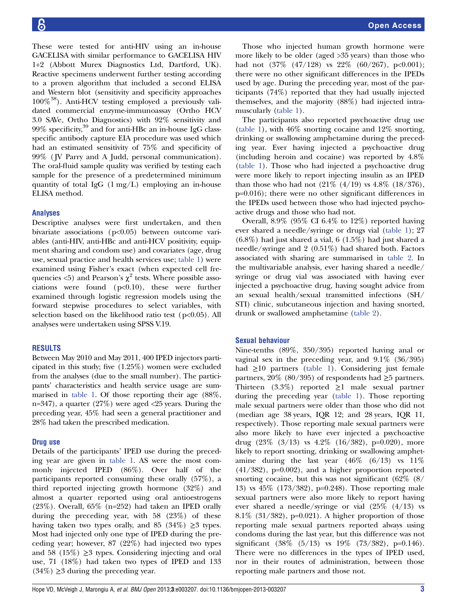These were tested for anti-HIV using an in-house GACELISA with similar performance to GACELISA HIV 1+2 (Abbott Murex Diagnostics Ltd, Dartford, UK). Reactive specimens underwent further testing according to a proven algorithm that included a second ELISA and Western blot (sensitivity and specificity approaches  $100\%$ <sup>38</sup>). Anti-HCV testing employed a previously validated commercial enzyme-immunoassay (Ortho HCV 3.0 SAVe, Ortho Diagnostics) with 92% sensitivity and 99% specificity,39 and for anti-HBc an in-house IgG classspecific antibody capture EIA procedure was used which had an estimated sensitivity of 75% and specificity of 99% ( JV Parry and A Judd, personal communication). The oral-fluid sample quality was verified by testing each sample for the presence of a predetermined minimum quantity of total IgG  $(1 \text{ mg/L})$  employing an in-house ELISA method.

#### Analyses

Descriptive analyses were first undertaken, and then bivariate associations (p<0.05) between outcome variables (anti-HIV, anti-HBc and anti-HCV positivity, equipment sharing and condom use) and covariates (age, drug use, sexual practice and health services use; table 1) were examined using Fisher's exact (when expected cell frequencies  $\langle 5 \rangle$  and Pearson's  $\chi^2$  tests. Where possible associations were found (p<0.10), these were further examined through logistic regression models using the forward stepwise procedures to select variables, with selection based on the likelihood ratio test (p<0.05). All analyses were undertaken using SPSS V.19.

#### **RESULTS**

Between May 2010 and May 2011, 400 IPED injectors participated in this study; five (1.25%) women were excluded from the analyses (due to the small number). The participants' characteristics and health service usage are summarised in table 1. Of those reporting their age (88%, n=347), a quarter (27%) were aged <25 years. During the preceding year, 45% had seen a general practitioner and 28% had taken the prescribed medication.

#### Drug use

Details of the participants' IPED use during the preceding year are given in table 1. AS were the most commonly injected IPED (86%). Over half of the participants reported consuming these orally (57%), a third reported injecting growth hormone (32%) and almost a quarter reported using oral antioestrogens (23%). Overall, 65% (n=252) had taken an IPED orally during the preceding year, with 58 (23%) of these having taken two types orally, and 85 (34%)  $\geq$ 3 types. Most had injected only one type of IPED during the preceding year; however, 87 (22%) had injected two types and 58 (15%)  $\geq$ 3 types. Considering injecting and oral use, 71 (18%) had taken two types of IPED and 133  $(34\%) \geq 3$  during the preceding year.

Those who injected human growth hormone were more likely to be older (aged >35 years) than those who had not (37% (47/128) vs 22% (60/267), p<0.001); there were no other significant differences in the IPEDs used by age. During the preceding year, most of the participants (74%) reported that they had usually injected themselves, and the majority (88%) had injected intramuscularly (table 1).

The participants also reported psychoactive drug use (table 1), with 46% snorting cocaine and 12% snorting, drinking or swallowing amphetamine during the preceding year. Ever having injected a psychoactive drug (including heroin and cocaine) was reported by 4.8% (table 1). Those who had injected a psychoactive drug were more likely to report injecting insulin as an IPED than those who had not  $(21\% (4/19)$  vs  $4.8\% (18/376)$ , p=0.016); there were no other significant differences in the IPEDs used between those who had injected psychoactive drugs and those who had not.

Overall, 8.9% (95% CI 6.4% to 12%) reported having ever shared a needle/syringe or drugs vial (table 1); 27 (6.8%) had just shared a vial, 6 (1.5%) had just shared a needle/syringe and 2 (0.51%) had shared both. Factors associated with sharing are summarised in table 2. In the multivariable analysis, ever having shared a needle/ syringe or drug vial was associated with having ever injected a psychoactive drug, having sought advice from an sexual health/sexual transmitted infections (SH/ STI) clinic, subcutaneous injection and having snorted, drunk or swallowed amphetamine (table 2).

## Sexual behaviour

Nine-tenths (89%, 350/395) reported having anal or vaginal sex in the preceding year, and 9.1% (36/395) had  $\geq 10$  partners (table 1). Considering just female partners,  $20\%$  (80/395) of respondents had  $\geq$ 5 partners. Thirteen (3.3%) reported  $\geq$ 1 male sexual partner during the preceding year (table 1). Those reporting male sexual partners were older than those who did not (median age 38 years, IQR 12; and 28 years, IQR 11, respectively). Those reporting male sexual partners were also more likely to have ever injected a psychoactive drug  $(23\% (3/13)$  vs  $4.2\% (16/382)$ , p=0.020), more likely to report snorting, drinking or swallowing amphetamine during the last year  $(46\% (6/13)$  vs  $11\%$  $(41/382)$ , p=0.002), and a higher proportion reported snorting cocaine, but this was not significant (62% (8/ 13) vs 45% (173/382), p=0.248). Those reporting male sexual partners were also more likely to report having ever shared a needle/syringe or vial (25% (4/13) vs 8.1% (31/382), p=0.021). A higher proportion of those reporting male sexual partners reported always using condoms during the last year, but this difference was not significant  $(38\% (5/13)$  vs  $19\% (73/382)$ , p=0.146). There were no differences in the types of IPED used, nor in their routes of administration, between those reporting male partners and those not.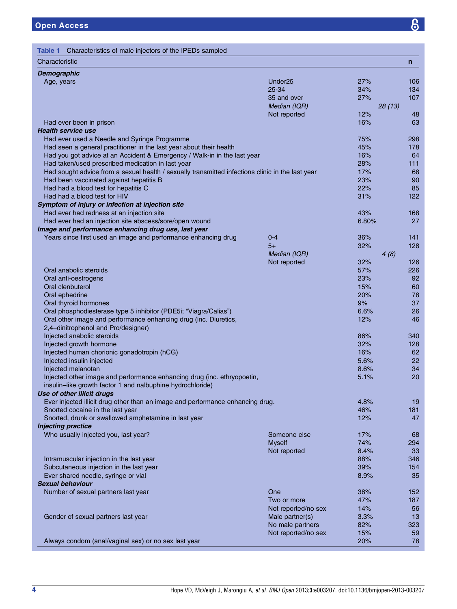| Characteristics of male injectors of the IPEDs sampled<br>Table 1                                |                     |        |     |
|--------------------------------------------------------------------------------------------------|---------------------|--------|-----|
| Characteristic                                                                                   |                     |        | n   |
| <b>Demographic</b>                                                                               |                     |        |     |
| Age, years                                                                                       | Under <sub>25</sub> | 27%    | 106 |
|                                                                                                  | 25-34               | 34%    | 134 |
|                                                                                                  | 35 and over         | 27%    | 107 |
|                                                                                                  | Median (IQR)        | 28(13) |     |
|                                                                                                  | Not reported        | 12%    | 48  |
| Had ever been in prison                                                                          |                     | 16%    | 63  |
| <b>Health service use</b>                                                                        |                     |        |     |
| Had ever used a Needle and Syringe Programme                                                     |                     | 75%    | 298 |
| Had seen a general practitioner in the last year about their health                              |                     | 45%    | 178 |
| Had you got advice at an Accident & Emergency / Walk-in in the last year                         |                     | 16%    | 64  |
| Had taken/used prescribed medication in last year                                                |                     | 28%    | 111 |
| Had sought advice from a sexual health / sexually transmitted infections clinic in the last year |                     | 17%    | 68  |
| Had been vaccinated against hepatitis B                                                          |                     | 23%    | 90  |
| Had had a blood test for hepatitis C                                                             |                     | 22%    | 85  |
| Had had a blood test for HIV                                                                     |                     | 31%    | 122 |
| Symptom of injury or infection at injection site                                                 |                     |        |     |
| Had ever had redness at an injection site                                                        |                     | 43%    | 168 |
| Had ever had an injection site abscess/sore/open wound                                           |                     | 6.80%  | 27  |
| Image and performance enhancing drug use, last year                                              |                     |        |     |
| Years since first used an image and performance enhancing drug                                   | $0 - 4$             | 36%    | 141 |
|                                                                                                  | $5+$                | 32%    | 128 |
|                                                                                                  |                     |        |     |
|                                                                                                  | Median (IQR)        | 4(8)   |     |
|                                                                                                  | Not reported        | 32%    | 126 |
| Oral anabolic steroids                                                                           |                     | 57%    | 226 |
| Oral anti-oestrogens                                                                             |                     | 23%    | 92  |
| Oral clenbuterol                                                                                 |                     | 15%    | 60  |
| Oral ephedrine                                                                                   |                     | 20%    | 78  |
| Oral thyroid hormones                                                                            |                     | 9%     | 37  |
| Oral phosphodiesterase type 5 inhibitor (PDE5i; "Viagra/Calias")                                 |                     | 6.6%   | 26  |
| Oral other image and performance enhancing drug (inc. Diuretics,                                 |                     | 12%    | 46  |
| 2,4-dinitrophenol and Pro/designer)                                                              |                     |        |     |
| Injected anabolic steroids                                                                       |                     | 86%    | 340 |
| Injected growth hormone                                                                          |                     | 32%    | 128 |
| Injected human chorionic gonadotropin (hCG)                                                      |                     | 16%    | 62  |
| Injected insulin injected                                                                        |                     | 5.6%   | 22  |
| Injected melanotan                                                                               |                     | 8.6%   | 34  |
| Injected other image and performance enhancing drug (inc. ethryopoetin,                          |                     | 5.1%   | 20  |
| insulin-like growth factor 1 and nalbuphine hydrochloride)                                       |                     |        |     |
| Use of other illicit drugs                                                                       |                     |        |     |
| Ever injected illicit drug other than an image and performance enhancing drug.                   |                     | 4.8%   | 19  |
| Snorted cocaine in the last year                                                                 |                     | 46%    | 181 |
| Snorted, drunk or swallowed amphetamine in last year                                             |                     | 12%    | 47  |
| <b>Injecting practice</b>                                                                        |                     |        |     |
| Who usually injected you, last year?                                                             | Someone else        | 17%    | 68  |
|                                                                                                  | <b>Myself</b>       | 74%    | 294 |
|                                                                                                  | Not reported        | 8.4%   | 33  |
|                                                                                                  |                     | 88%    | 346 |
| Intramuscular injection in the last year                                                         |                     |        |     |
| Subcutaneous injection in the last year                                                          |                     | 39%    | 154 |
| Ever shared needle, syringe or vial                                                              |                     | 8.9%   | 35  |
| Sexual behaviour                                                                                 |                     |        |     |
| Number of sexual partners last year                                                              | One                 | 38%    | 152 |
|                                                                                                  | Two or more         | 47%    | 187 |
|                                                                                                  | Not reported/no sex | 14%    | 56  |
| Gender of sexual partners last year                                                              | Male partner(s)     | 3.3%   | 13  |
|                                                                                                  | No male partners    | 82%    | 323 |
|                                                                                                  | Not reported/no sex | 15%    | 59  |
| Always condom (anal/vaginal sex) or no sex last year                                             |                     | 20%    | 78  |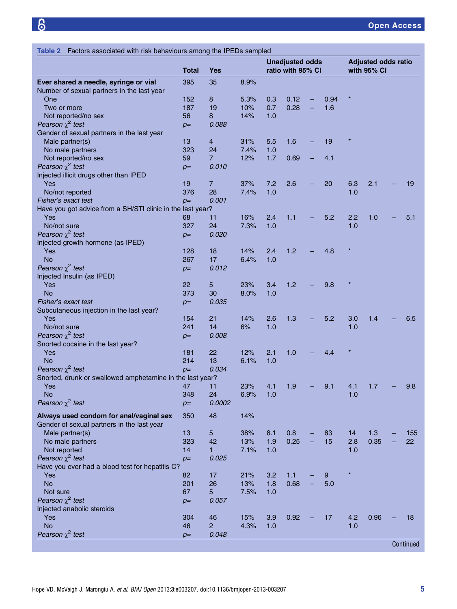Table 2 Factors associated with risk behaviours among the IPEDs sampled

|                                                            | <b>Total</b> | <b>Unadjusted odds</b><br>ratio with 95% CI<br><b>Yes</b> |      |     |      |  |                  |     | <b>Adjusted odds ratio</b><br>with 95% CI |  |           |  |  |  |  |
|------------------------------------------------------------|--------------|-----------------------------------------------------------|------|-----|------|--|------------------|-----|-------------------------------------------|--|-----------|--|--|--|--|
| Ever shared a needle, syringe or vial                      | 395          | 35                                                        | 8.9% |     |      |  |                  |     |                                           |  |           |  |  |  |  |
| Number of sexual partners in the last year                 |              |                                                           |      |     |      |  |                  |     |                                           |  |           |  |  |  |  |
| One                                                        | 152          | 8                                                         | 5.3% | 0.3 | 0.12 |  | 0.94             |     |                                           |  |           |  |  |  |  |
| Two or more                                                | 187          | 19                                                        | 10%  | 0.7 | 0.28 |  | 1.6              |     |                                           |  |           |  |  |  |  |
| Not reported/no sex                                        | 56           | 8                                                         | 14%  | 1.0 |      |  |                  |     |                                           |  |           |  |  |  |  |
| Pearson $\chi^2$ test                                      | $p=$         | 0.088                                                     |      |     |      |  |                  |     |                                           |  |           |  |  |  |  |
| Gender of sexual partners in the last year                 |              |                                                           |      |     |      |  |                  |     |                                           |  |           |  |  |  |  |
| Male partner(s)                                            | 13           | $\overline{4}$                                            | 31%  | 5.5 | 1.6  |  | 19               |     |                                           |  |           |  |  |  |  |
| No male partners                                           | 323          | 24                                                        | 7.4% | 1.0 |      |  |                  |     |                                           |  |           |  |  |  |  |
| Not reported/no sex                                        | 59           | $\overline{7}$                                            | 12%  | 1.7 | 0.69 |  | 4.1              |     |                                           |  |           |  |  |  |  |
| Pearson $\chi^2$ test                                      | $p=$         | 0.010                                                     |      |     |      |  |                  |     |                                           |  |           |  |  |  |  |
| Injected illicit drugs other than IPED                     |              |                                                           |      |     |      |  |                  |     |                                           |  |           |  |  |  |  |
| Yes                                                        | 19           | 7                                                         | 37%  | 7.2 | 2.6  |  | 20               | 6.3 | 2.1                                       |  | 19        |  |  |  |  |
| No/not reported                                            | 376          | 28                                                        | 7.4% | 1.0 |      |  |                  | 1.0 |                                           |  |           |  |  |  |  |
| Fisher's exact test                                        | $p=$         | 0.001                                                     |      |     |      |  |                  |     |                                           |  |           |  |  |  |  |
| Have you got advice from a SH/STI clinic in the last year? |              |                                                           |      |     |      |  |                  |     |                                           |  |           |  |  |  |  |
| Yes                                                        | 68           | 11                                                        | 16%  | 2.4 | 1.1  |  | 5.2              | 2.2 | 1.0                                       |  | 5.1       |  |  |  |  |
| No/not sure                                                | 327          | 24                                                        | 7.3% | 1.0 |      |  |                  | 1.0 |                                           |  |           |  |  |  |  |
| Pearson $\chi^2$ test                                      | $p=$         | 0.020                                                     |      |     |      |  |                  |     |                                           |  |           |  |  |  |  |
| Injected growth hormone (as IPED)                          |              |                                                           |      |     |      |  |                  |     |                                           |  |           |  |  |  |  |
| Yes                                                        | 128          | 18                                                        | 14%  | 2.4 | 1.2  |  | 4.8              |     |                                           |  |           |  |  |  |  |
| <b>No</b>                                                  | 267          | 17                                                        | 6.4% | 1.0 |      |  |                  |     |                                           |  |           |  |  |  |  |
| Pearson $\chi^2$ test                                      | $p=$         | 0.012                                                     |      |     |      |  |                  |     |                                           |  |           |  |  |  |  |
| Injected Insulin (as IPED)                                 |              |                                                           |      |     |      |  |                  |     |                                           |  |           |  |  |  |  |
| Yes                                                        | 22           | 5                                                         | 23%  | 3.4 | 1.2  |  | 9.8              |     |                                           |  |           |  |  |  |  |
| <b>No</b>                                                  | 373          | 30                                                        | 8.0% | 1.0 |      |  |                  |     |                                           |  |           |  |  |  |  |
| Fisher's exact test                                        | $p=$         | 0.035                                                     |      |     |      |  |                  |     |                                           |  |           |  |  |  |  |
| Subcutaneous injection in the last year?                   |              |                                                           |      |     |      |  |                  |     |                                           |  |           |  |  |  |  |
| Yes                                                        | 154          | 21                                                        | 14%  | 2.6 | 1.3  |  | 5.2              | 3.0 | 1.4                                       |  | 6.5       |  |  |  |  |
| No/not sure                                                | 241          | 14                                                        | 6%   | 1.0 |      |  |                  | 1.0 |                                           |  |           |  |  |  |  |
| Pearson $\chi^2$ test                                      | $p=$         | 0.008                                                     |      |     |      |  |                  |     |                                           |  |           |  |  |  |  |
| Snorted cocaine in the last year?                          |              |                                                           |      |     |      |  |                  |     |                                           |  |           |  |  |  |  |
| Yes                                                        | 181          | 22                                                        | 12%  | 2.1 | 1.0  |  | 4.4              |     |                                           |  |           |  |  |  |  |
| <b>No</b>                                                  | 214          | 13                                                        | 6.1% | 1.0 |      |  |                  |     |                                           |  |           |  |  |  |  |
| Pearson $\chi^2$ test                                      | $p=$         | 0.034                                                     |      |     |      |  |                  |     |                                           |  |           |  |  |  |  |
|                                                            |              |                                                           |      |     |      |  |                  |     |                                           |  |           |  |  |  |  |
| Snorted, drunk or swallowed amphetamine in the last year?  |              |                                                           |      |     |      |  |                  |     |                                           |  |           |  |  |  |  |
| Yes                                                        | 47           | 11                                                        | 23%  | 4.1 | 1.9  |  | 9.1              | 4.1 | 1.7                                       |  | 9.8       |  |  |  |  |
| <b>No</b>                                                  | 348          | 24                                                        | 6.9% | 1.0 |      |  |                  | 1.0 |                                           |  |           |  |  |  |  |
| Pearson $\chi^2$ test                                      | $p=$         | 0.0002                                                    |      |     |      |  |                  |     |                                           |  |           |  |  |  |  |
| Always used condom for anal/vaginal sex                    | 350          | 48                                                        | 14%  |     |      |  |                  |     |                                           |  |           |  |  |  |  |
| Gender of sexual partners in the last year                 |              |                                                           |      |     |      |  |                  |     |                                           |  |           |  |  |  |  |
| Male partner(s)                                            | 13           | $\overline{5}$                                            | 38%  | 8.1 | 0.8  |  | 83               | 14  | 1.3                                       |  | 155       |  |  |  |  |
| No male partners                                           | 323          | 42                                                        | 13%  | 1.9 | 0.25 |  | 15               | 2.8 | 0.35                                      |  | 22        |  |  |  |  |
| Not reported                                               | 14           | 1.                                                        | 7.1% | 1.0 |      |  |                  | 1.0 |                                           |  |           |  |  |  |  |
| Pearson $\chi^2$ test                                      | $p=$         | 0.025                                                     |      |     |      |  |                  |     |                                           |  |           |  |  |  |  |
| Have you ever had a blood test for hepatitis C?            |              |                                                           |      |     |      |  |                  |     |                                           |  |           |  |  |  |  |
| Yes                                                        | 82           | 17                                                        | 21%  | 3.2 | 1.1  |  | $\boldsymbol{9}$ |     |                                           |  |           |  |  |  |  |
| <b>No</b>                                                  | 201          | 26                                                        | 13%  | 1.8 | 0.68 |  | 5.0              |     |                                           |  |           |  |  |  |  |
| Not sure                                                   | 67           | 5                                                         | 7.5% | 1.0 |      |  |                  |     |                                           |  |           |  |  |  |  |
| Pearson $\chi^2$ test                                      | $p=$         | 0.057                                                     |      |     |      |  |                  |     |                                           |  |           |  |  |  |  |
| Injected anabolic steroids                                 |              |                                                           |      |     |      |  |                  |     |                                           |  |           |  |  |  |  |
| Yes                                                        | 304          | 46                                                        | 15%  | 3.9 | 0.92 |  | 17               | 4.2 | 0.96                                      |  | 18        |  |  |  |  |
| <b>No</b>                                                  | 46           | $\overline{a}$                                            | 4.3% | 1.0 |      |  |                  | 1.0 |                                           |  |           |  |  |  |  |
| Pearson $\chi^2$ test                                      | $p=$         | 0.048                                                     |      |     |      |  |                  |     |                                           |  |           |  |  |  |  |
|                                                            |              |                                                           |      |     |      |  |                  |     |                                           |  | Continued |  |  |  |  |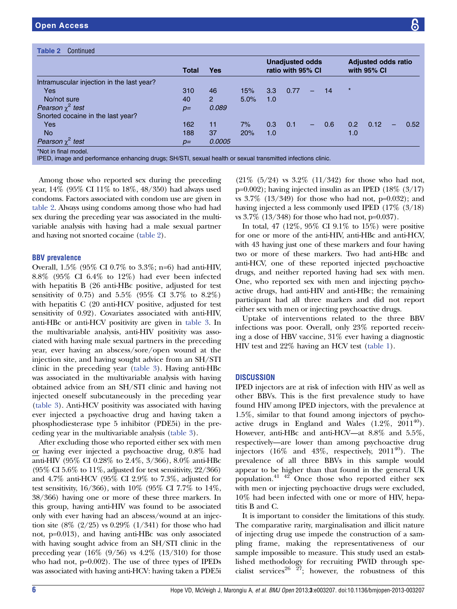## Table 2 Continued

| ----------                                |              |                |         |     |                                             |                          |     |         |                                           |                          |      |  |
|-------------------------------------------|--------------|----------------|---------|-----|---------------------------------------------|--------------------------|-----|---------|-------------------------------------------|--------------------------|------|--|
|                                           | <b>Total</b> | <b>Yes</b>     |         |     | <b>Unadjusted odds</b><br>ratio with 95% CI |                          |     |         | <b>Adjusted odds ratio</b><br>with 95% CI |                          | 0.52 |  |
| Intramuscular injection in the last year? |              |                |         |     |                                             |                          |     |         |                                           |                          |      |  |
| <b>Yes</b>                                | 310          | 46             | 15%     | 3.3 | 0.77                                        | -                        | 14  | $\star$ |                                           |                          |      |  |
| No/not sure                               | 40           | $\overline{2}$ | $5.0\%$ | 1.0 |                                             |                          |     |         |                                           |                          |      |  |
| Pearson $\chi^2$ test                     | $p=$         | 0.089          |         |     |                                             |                          |     |         |                                           |                          |      |  |
| Snorted cocaine in the last year?         |              |                |         |     |                                             |                          |     |         |                                           |                          |      |  |
| <b>Yes</b>                                | 162          | 11             | 7%      | 0.3 | 0.1                                         | $\overline{\phantom{0}}$ | 0.6 | 0.2     | 0.12                                      | $\overline{\phantom{0}}$ |      |  |
| <b>No</b>                                 | 188          | 37             | 20%     | 1.0 |                                             |                          |     | 1.0     |                                           |                          |      |  |
| Pearson $\chi^2$ test                     | $D =$        | 0.0005         |         |     |                                             |                          |     |         |                                           |                          |      |  |
| $*$ Natin final model                     |              |                |         |     |                                             |                          |     |         |                                           |                          |      |  |

pt in final model

IPED, image and performance enhancing drugs; SH/STI, sexual health or sexual transmitted infections clinic.

Among those who reported sex during the preceding year, 14% (95% CI 11% to 18%, 48/350) had always used condoms. Factors associated with condom use are given in table 2. Always using condoms among those who had had sex during the preceding year was associated in the multivariable analysis with having had a male sexual partner and having not snorted cocaine (table 2).

#### BBV prevalence

Overall, 1.5% (95% CI 0.7% to 3.3%; n=6) had anti-HIV, 8.8% (95% CI 6.4% to 12%) had ever been infected with hepatitis B (26 anti-HBc positive, adjusted for test sensitivity of 0.75) and 5.5% (95% CI 3.7% to 8.2%) with hepatitis C (20 anti-HCV positive, adjusted for test sensitivity of 0.92). Covariates associated with anti-HIV, anti-HBc or anti-HCV positivity are given in table 3. In the multivariable analysis, anti-HIV positivity was associated with having male sexual partners in the preceding year, ever having an abscess/sore/open wound at the injection site, and having sought advice from an SH/STI clinic in the preceding year (table 3). Having anti-HBc was associated in the multivariable analysis with having obtained advice from an SH/STI clinic and having not injected oneself subcutaneously in the preceding year (table 3). Anti-HCV positivity was associated with having ever injected a psychoactive drug and having taken a phosphodiesterase type 5 inhibitor (PDE5i) in the preceding year in the multivariable analysis (table 3).

After excluding those who reported either sex with men or having ever injected a psychoactive drug, 0.8% had anti-HIV (95% CI 0.28% to 2.4%, 3/366), 8.0% anti-HBc  $(95\% \text{ CI } 5.6\% \text{ to } 11\%, \text{ adjusted for test sensitivity}, 22/366)$ and 4.7% anti-HCV (95% CI 2.9% to 7.3%, adjusted for test sensitivity, 16/366), with 10% (95% CI 7.7% to 14%, 38/366) having one or more of these three markers. In this group, having anti-HIV was found to be associated only with ever having had an abscess/wound at an injection site (8%  $(2/25)$  vs 0.29%  $(1/341)$  for those who had not, p=0.013), and having anti-HBc was only associated with having sought advice from an SH/STI clinic in the preceding year (16% (9/56) vs 4.2% (13/310) for those who had not,  $p=0.002$ ). The use of three types of IPEDs was associated with having anti-HCV: having taken a PDE5i

 $(21\% (5/24)$  vs  $3.2\% (11/342)$  for those who had not,  $p=0.002$ ); having injected insulin as an IPED (18%  $(3/17)$ ) vs 3.7% (13/349) for those who had not, p=0.032); and having injected a less commonly used IPED (17% (3/18) vs 3.7% (13/348) for those who had not, p=0.037).

In total, 47 (12%, 95% CI 9.1% to 15%) were positive for one or more of the anti-HIV, anti-HBc and anti-HCV, with 43 having just one of these markers and four having two or more of these markers. Two had anti-HBc and anti-HCV, one of these reported injected psychoactive drugs, and neither reported having had sex with men. One, who reported sex with men and injecting psychoactive drugs, had anti-HIV and anti-HBc; the remaining participant had all three markers and did not report either sex with men or injecting psychoactive drugs.

Uptake of interventions related to the three BBV infections was poor. Overall, only 23% reported receiving a dose of HBV vaccine, 31% ever having a diagnostic HIV test and 22% having an HCV test (table 1).

## **DISCUSSION**

IPED injectors are at risk of infection with HIV as well as other BBVs. This is the first prevalence study to have found HIV among IPED injectors, with the prevalence at 1.5%, similar to that found among injectors of psychoactive drugs in England and Wales  $(1.2\%, 2011^{40})$ . However, anti-HBc and anti-HCV—at 8.8% and 5.5%, respectively—are lower than among psychoactive drug injectors  $(16\%$  and  $43\%$ , respectively,  $2011^{40}$ ). The prevalence of all three BBVs in this sample would appear to be higher than that found in the general UK population.<sup>41 42</sup> Once those who reported either sex with men or injecting psychoactive drugs were excluded, 10% had been infected with one or more of HIV, hepatitis B and C.

It is important to consider the limitations of this study. The comparative rarity, marginalisation and illicit nature of injecting drug use impede the construction of a sampling frame, making the representativeness of our sample impossible to measure. This study used an established methodology for recruiting PWID through specialist services<sup>26</sup>  $\frac{27}{27}$ ; however, the robustness of this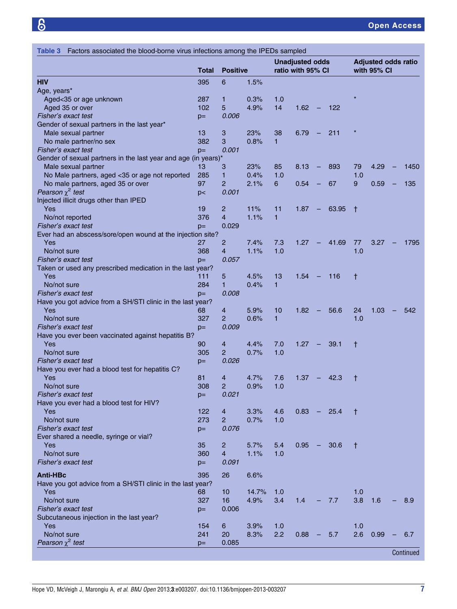|  | Table 3 Factors associated the blood-borne virus infections among the IPEDs sampled |  |  |  |  |
|--|-------------------------------------------------------------------------------------|--|--|--|--|
|--|-------------------------------------------------------------------------------------|--|--|--|--|

| <b>Exercise accounting the proceductive integrated and the differential contributed</b> | <b>Total</b> |                      | <b>Unadjusted odds</b><br>ratio with 95% CI |              | Adjusted odds ratio<br>with 95% CI |                   |       |              |      |  |           |
|-----------------------------------------------------------------------------------------|--------------|----------------------|---------------------------------------------|--------------|------------------------------------|-------------------|-------|--------------|------|--|-----------|
| <b>HIV</b>                                                                              | 395          | <b>Positive</b><br>6 | 1.5%                                        |              |                                    |                   |       |              |      |  |           |
| Age, years*                                                                             |              |                      |                                             |              |                                    |                   |       |              |      |  |           |
| Aged<35 or age unknown                                                                  | 287          | 1                    | 0.3%                                        | 1.0          |                                    |                   |       |              |      |  |           |
| Aged 35 or over                                                                         | 102          | 5                    | 4.9%                                        | 14           | 1.62                               |                   | 122   |              |      |  |           |
| Fisher's exact test                                                                     | $p=$         | 0.006                |                                             |              |                                    |                   |       |              |      |  |           |
| Gender of sexual partners in the last year*                                             |              |                      |                                             |              |                                    |                   |       |              |      |  |           |
| Male sexual partner                                                                     | 13           | 3                    | 23%                                         | 38           | 6.79                               |                   | 211   |              |      |  |           |
| No male partner/no sex                                                                  | 382          | 3                    | 0.8%                                        | 1.           |                                    |                   |       |              |      |  |           |
| Fisher's exact test                                                                     | $p=$         | 0.001                |                                             |              |                                    |                   |       |              |      |  |           |
| Gender of sexual partners in the last year and age (in years)*                          |              |                      |                                             |              |                                    |                   |       |              |      |  |           |
| Male sexual partner                                                                     | 13           | 3                    | 23%                                         | 85           | 8.13                               | -                 | 893   | 79           | 4.29 |  | 1450      |
| No Male partners, aged <35 or age not reported                                          | 285          | 1                    | 0.4%                                        | 1.0          |                                    |                   |       | 1.0          |      |  |           |
| No male partners, aged 35 or over                                                       | 97           | 2                    | 2.1%                                        | 6            | 0.54                               |                   | 67    | 9            | 0.59 |  | 135       |
| Pearson $\chi^2$ test                                                                   | p            | 0.001                |                                             |              |                                    |                   |       |              |      |  |           |
| Injected illicit drugs other than IPED                                                  |              |                      |                                             |              |                                    |                   |       |              |      |  |           |
| Yes                                                                                     | 19           | 2                    | 11%                                         | 11           | 1.87                               |                   | 63.95 | $+$          |      |  |           |
| No/not reported                                                                         | 376          | $\overline{4}$       | 1.1%                                        | $\mathbf{1}$ |                                    |                   |       |              |      |  |           |
| Fisher's exact test                                                                     | $p=$         | 0.029                |                                             |              |                                    |                   |       |              |      |  |           |
| Ever had an abscess/sore/open wound at the injection site?                              |              |                      |                                             |              |                                    |                   |       |              |      |  |           |
| Yes                                                                                     | 27           | 2                    | 7.4%                                        | 7.3          | 1.27                               | $\qquad \qquad -$ | 41.69 | 77           | 3.27 |  | 1795      |
| No/not sure                                                                             | 368          | 4                    | 1.1%                                        | 1.0          |                                    |                   |       | 1.0          |      |  |           |
| Fisher's exact test                                                                     | $p=$         | 0.057                |                                             |              |                                    |                   |       |              |      |  |           |
| Taken or used any prescribed medication in the last year?                               |              |                      |                                             |              |                                    |                   |       |              |      |  |           |
| Yes                                                                                     | 111          | 5                    | 4.5%                                        | 13           | 1.54                               |                   | 116   | t            |      |  |           |
| No/not sure                                                                             | 284          | 1.                   | 0.4%                                        | 1            |                                    |                   |       |              |      |  |           |
| Fisher's exact test                                                                     | $p=$         | 0.008                |                                             |              |                                    |                   |       |              |      |  |           |
| Have you got advice from a SH/STI clinic in the last year?                              |              |                      |                                             |              |                                    |                   |       |              |      |  |           |
| Yes                                                                                     | 68           | 4                    | 5.9%                                        | 10           | 1.82                               |                   | 56.6  | 24           | 1.03 |  | 542       |
| No/not sure                                                                             | 327          | 2                    | 0.6%                                        | $\mathbf{1}$ |                                    |                   |       | 1.0          |      |  |           |
| Fisher's exact test                                                                     | $p=$         | 0.009                |                                             |              |                                    |                   |       |              |      |  |           |
| Have you ever been vaccinated against hepatitis B?                                      |              |                      |                                             |              |                                    |                   |       |              |      |  |           |
| Yes                                                                                     | 90           | 4                    | 4.4%                                        | 7.0          | 1.27                               | $\qquad \qquad -$ | 39.1  | ŧ            |      |  |           |
| No/not sure                                                                             | 305          | $\overline{c}$       | 0.7%                                        | 1.0          |                                    |                   |       |              |      |  |           |
| Fisher's exact test                                                                     | $p=$         | 0.026                |                                             |              |                                    |                   |       |              |      |  |           |
| Have you ever had a blood test for hepatitis C?                                         |              |                      |                                             |              |                                    |                   |       |              |      |  |           |
| Yes                                                                                     | 81           | 4                    | 4.7%                                        | 7.6          | 1.37                               |                   | 42.3  | $\mathsf{t}$ |      |  |           |
| No/not sure                                                                             | 308          | 2                    | 0.9%                                        | 1.0          |                                    |                   |       |              |      |  |           |
| Fisher's exact test                                                                     | $p=$         | 0.021                |                                             |              |                                    |                   |       |              |      |  |           |
| Have you ever had a blood test for HIV?                                                 |              |                      |                                             |              |                                    |                   |       |              |      |  |           |
| Yes                                                                                     | 122          | 4                    | 3.3%                                        | 4.6          | 0.83                               |                   | 25.4  | ŧ            |      |  |           |
| No/not sure                                                                             | 273          | $\overline{c}$       | 0.7%                                        | 1.0          |                                    |                   |       |              |      |  |           |
| Fisher's exact test                                                                     |              | 0.076                |                                             |              |                                    |                   |       |              |      |  |           |
| Ever shared a needle, syringe or vial?                                                  | $p=$         |                      |                                             |              |                                    |                   |       |              |      |  |           |
| Yes                                                                                     | 35           | 2                    | 5.7%                                        | 5.4          | 0.95                               | $\qquad \qquad -$ | 30.6  | $\ddagger$   |      |  |           |
| No/not sure                                                                             | 360          | $\overline{4}$       | 1.1%                                        | 1.0          |                                    |                   |       |              |      |  |           |
| Fisher's exact test                                                                     |              | 0.091                |                                             |              |                                    |                   |       |              |      |  |           |
|                                                                                         | $p=$         |                      |                                             |              |                                    |                   |       |              |      |  |           |
| <b>Anti-HBc</b>                                                                         | 395          | 26                   | 6.6%                                        |              |                                    |                   |       |              |      |  |           |
| Have you got advice from a SH/STI clinic in the last year?                              |              |                      |                                             |              |                                    |                   |       |              |      |  |           |
| Yes                                                                                     | 68           | 10                   | 14.7%                                       | 1.0          |                                    |                   |       | 1.0          |      |  |           |
| No/not sure                                                                             | 327          | 16                   | 4.9%                                        | 3.4          | 1.4                                | -                 | 7.7   | 3.8          | 1.6  |  | 8.9       |
| Fisher's exact test                                                                     | $p=$         | 0.006                |                                             |              |                                    |                   |       |              |      |  |           |
| Subcutaneous injection in the last year?                                                |              |                      |                                             |              |                                    |                   |       |              |      |  |           |
| Yes                                                                                     | 154          | 6                    | 3.9%                                        | 1.0          |                                    |                   |       | 1.0          |      |  |           |
| No/not sure                                                                             | 241          | 20                   | 8.3%                                        | 2.2          | 0.88                               |                   | 5.7   | 2.6          | 0.99 |  | 6.7       |
| Pearson $\chi^2$ test                                                                   | $p=$         | 0.085                |                                             |              |                                    |                   |       |              |      |  |           |
|                                                                                         |              |                      |                                             |              |                                    |                   |       |              |      |  | Continued |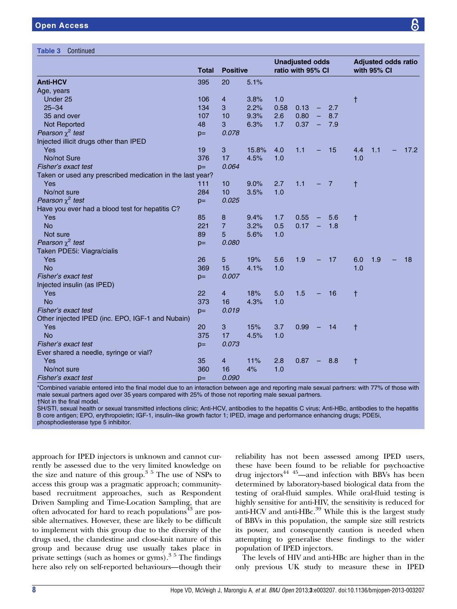#### Table 3 Continued

|                                                           | <b>Positive</b><br><b>Total</b> |                |       | <b>Unadjusted odds</b><br>ratio with 95% CI |      |                          |                | <b>Adjusted odds ratio</b><br>with 95% CI |     |  |      |  |  |
|-----------------------------------------------------------|---------------------------------|----------------|-------|---------------------------------------------|------|--------------------------|----------------|-------------------------------------------|-----|--|------|--|--|
| <b>Anti-HCV</b>                                           | 395                             | 20             | 5.1%  |                                             |      |                          |                |                                           |     |  |      |  |  |
| Age, years                                                |                                 |                |       |                                             |      |                          |                |                                           |     |  |      |  |  |
| Under 25                                                  | 106                             | 4              | 3.8%  | 1.0                                         |      |                          |                | t                                         |     |  |      |  |  |
| $25 - 34$                                                 | 134                             | 3              | 2.2%  | 0.58                                        | 0.13 |                          | 2.7            |                                           |     |  |      |  |  |
| 35 and over                                               | 107                             | 10             | 9.3%  | 2.6                                         | 0.80 | $\equiv$                 | 8.7            |                                           |     |  |      |  |  |
| Not Reported                                              | 48                              | 3              | 6.3%  | 1.7                                         | 0.37 | $\overline{\phantom{0}}$ | 7.9            |                                           |     |  |      |  |  |
| Pearson $\chi^2$ test                                     | $p=$                            | 0.078          |       |                                             |      |                          |                |                                           |     |  |      |  |  |
| Injected illicit drugs other than IPED                    |                                 |                |       |                                             |      |                          |                |                                           |     |  |      |  |  |
| Yes                                                       | 19                              | 3              | 15.8% | 4.0                                         | 1.1  |                          | 15             | 4.4                                       | 1.1 |  | 17.2 |  |  |
| No/not Sure                                               | 376                             | 17             | 4.5%  | 1.0                                         |      |                          |                | 1.0                                       |     |  |      |  |  |
| Fisher's exact test                                       | $p=$                            | 0.064          |       |                                             |      |                          |                |                                           |     |  |      |  |  |
| Taken or used any prescribed medication in the last year? |                                 |                |       |                                             |      |                          |                |                                           |     |  |      |  |  |
| Yes                                                       | 111                             | 10             | 9.0%  | 2.7                                         | 1.1  |                          | $\overline{7}$ | $\ddagger$                                |     |  |      |  |  |
| No/not sure                                               | 284                             | 10             | 3.5%  | 1.0                                         |      |                          |                |                                           |     |  |      |  |  |
| Pearson $\chi^2$ test                                     | $p=$                            | 0.025          |       |                                             |      |                          |                |                                           |     |  |      |  |  |
| Have you ever had a blood test for hepatitis C?           |                                 |                |       |                                             |      |                          |                |                                           |     |  |      |  |  |
| Yes                                                       | 85                              | 8              | 9.4%  | 1.7                                         | 0.55 |                          | 5.6            | t                                         |     |  |      |  |  |
| <b>No</b>                                                 | 221                             | $\overline{7}$ | 3.2%  | 0.5                                         | 0.17 | ÷,                       | 1.8            |                                           |     |  |      |  |  |
| Not sure                                                  | 89                              | 5              | 5.6%  | 1.0                                         |      |                          |                |                                           |     |  |      |  |  |
| Pearson $\chi^2$ test                                     | $p=$                            | 0.080          |       |                                             |      |                          |                |                                           |     |  |      |  |  |
| Taken PDE5i: Viagra/cialis                                |                                 |                |       |                                             |      |                          |                |                                           |     |  |      |  |  |
| Yes                                                       | 26                              | 5              | 19%   | 5.6                                         | 1.9  |                          | 17             | 6.0                                       | 1.9 |  | 18   |  |  |
| <b>No</b>                                                 | 369                             | 15             | 4.1%  | 1.0                                         |      |                          |                | 1.0                                       |     |  |      |  |  |
| Fisher's exact test                                       | $p=$                            | 0.007          |       |                                             |      |                          |                |                                           |     |  |      |  |  |
| Injected insulin (as IPED)                                |                                 |                |       |                                             |      |                          |                |                                           |     |  |      |  |  |
| Yes                                                       | 22                              | $\overline{4}$ | 18%   | 5.0                                         | 1.5  |                          | 16             | t                                         |     |  |      |  |  |
| <b>No</b>                                                 | 373                             | 16             | 4.3%  | 1.0                                         |      |                          |                |                                           |     |  |      |  |  |
| Fisher's exact test                                       | $p=$                            | 0.019          |       |                                             |      |                          |                |                                           |     |  |      |  |  |
| Other injected IPED (inc. EPO, IGF-1 and Nubain)          |                                 |                |       |                                             |      |                          |                |                                           |     |  |      |  |  |
| Yes                                                       | 20                              | 3              | 15%   | 3.7                                         | 0.99 |                          | 14             | $\ddagger$                                |     |  |      |  |  |
| <b>No</b>                                                 | 375                             | 17             | 4.5%  | 1.0                                         |      |                          |                |                                           |     |  |      |  |  |
| Fisher's exact test                                       | $p=$                            | 0.073          |       |                                             |      |                          |                |                                           |     |  |      |  |  |
| Ever shared a needle, syringe or vial?                    |                                 |                |       |                                             |      |                          |                |                                           |     |  |      |  |  |
| Yes                                                       | 35                              | $\overline{4}$ | 11%   | 2.8                                         | 0.87 |                          | 8.8            | t                                         |     |  |      |  |  |
| No/not sure                                               | 360                             | 16             | 4%    | 1.0                                         |      |                          |                |                                           |     |  |      |  |  |
| Fisher's exact test                                       | $p=$                            | 0.090          |       |                                             |      |                          |                |                                           |     |  |      |  |  |

\*Combined variable entered into the final model due to an interaction between age and reporting male sexual partners: with 77% of those with male sexual partners aged over 35 years compared with 25% of those not reporting male sexual partners. †Not in the final model.

SH/STI, sexual health or sexual transmitted infections clinic; Anti-HCV, antibodies to the hepatitis C virus; Anti-HBc, antibodies to the hepatitis B core antigen; EPO, erythropoietin; IGF-1, insulin–like growth factor 1; IPED, image and performance enhancing drugs; PDE5i, phosphodiesterase type 5 inhibitor.

approach for IPED injectors is unknown and cannot currently be assessed due to the very limited knowledge on the size and nature of this group.<sup>3 5</sup> The use of NSPs to access this group was a pragmatic approach; communitybased recruitment approaches, such as Respondent Driven Sampling and Time-Location Sampling, that are often advocated for hard to reach populations<sup>43</sup> are possible alternatives. However, these are likely to be difficult to implement with this group due to the diversity of the drugs used, the clandestine and close-knit nature of this group and because drug use usually takes place in private settings (such as homes or gyms).<sup>3.5</sup> The findings here also rely on self-reported behaviours—though their

reliability has not been assessed among IPED users, these have been found to be reliable for psychoactive drug injectors<sup>44 45</sup>—and infection with BBVs has been determined by laboratory-based biological data from the testing of oral-fluid samples. While oral-fluid testing is highly sensitive for anti-HIV, the sensitivity is reduced for anti-HCV and anti-HBc.<sup>39</sup> While this is the largest study of BBVs in this population, the sample size still restricts its power, and consequently caution is needed when attempting to generalise these findings to the wider population of IPED injectors.

The levels of HIV and anti-HBc are higher than in the only previous UK study to measure these in IPED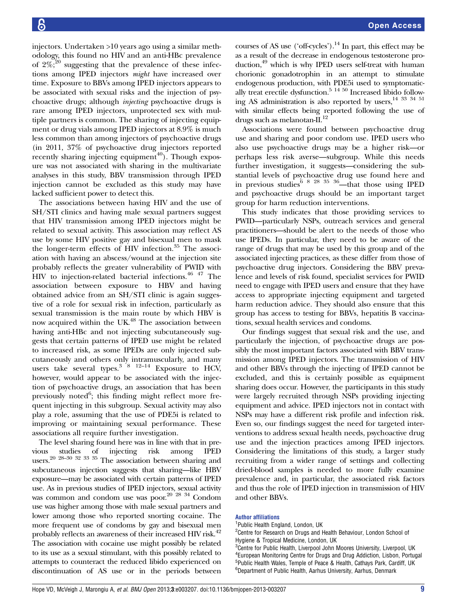injectors. Undertaken >10 years ago using a similar methodology, this found no HIV and an anti-HBc prevalence of  $2\%$ ;<sup>20</sup> suggesting that the prevalence of these infections among IPED injectors might have increased over time. Exposure to BBVs among IPED injectors appears to be associated with sexual risks and the injection of psychoactive drugs; although injecting psychoactive drugs is rare among IPED injectors, unprotected sex with multiple partners is common. The sharing of injecting equipment or drug vials among IPED injectors at 8.9% is much less common than among injectors of psychoactive drugs (in 2011, 37% of psychoactive drug injectors reported recently sharing injecting equipment<sup> $40$ </sup>). Though exposure was not associated with sharing in the multivariate analyses in this study, BBV transmission through IPED injection cannot be excluded as this study may have lacked sufficient power to detect this.

The associations between having HIV and the use of SH/STI clinics and having male sexual partners suggest that HIV transmission among IPED injectors might be related to sexual activity. This association may reflect AS use by some HIV positive gay and bisexual men to mask the longer-term effects of HIV infection. $35$  The association with having an abscess/wound at the injection site probably reflects the greater vulnerability of PWID with HIV to injection-related bacterial infections.<sup>46 47</sup> The association between exposure to HBV and having obtained advice from an SH/STI clinic is again suggestive of a role for sexual risk in infection, particularly as sexual transmission is the main route by which HBV is now acquired within the UK.<sup>48</sup> The association between having anti-HBc and not injecting subcutaneously suggests that certain patterns of IPED use might be related to increased risk, as some IPEDs are only injected subcutaneously and others only intramuscularly, and many users take several types. $3 \times 12^{-14}$  Exposure to HCV, however, would appear to be associated with the injection of psychoactive drugs, an association that has been previously noted<sup>6</sup>; this finding might reflect more frequent injecting in this subgroup. Sexual activity may also play a role, assuming that the use of PDE5i is related to improving or maintaining sexual performance. These associations all require further investigation.

The level sharing found here was in line with that in previous studies of injecting risk among IPED users.<sup>20</sup> <sup>28-30</sup> <sup>32</sup> <sup>33</sup> <sup>35</sup> The association between sharing and subcutaneous injection suggests that sharing—like HBV exposure—may be associated with certain patterns of IPED use. As in previous studies of IPED injectors, sexual activity was common and condom use was poor.<sup>20 28 34</sup> Condom use was higher among those with male sexual partners and lower among those who reported snorting cocaine. The more frequent use of condoms by gay and bisexual men probably reflects an awareness of their increased HIV risk.<sup>42</sup> The association with cocaine use might possibly be related to its use as a sexual stimulant, with this possibly related to attempts to counteract the reduced libido experienced on discontinuation of AS use or in the periods between

courses of AS use ('off-cycles').<sup>14</sup> In part, this effect may be as a result of the decrease in endogenous testosterone production,<sup>49</sup> which is why IPED users self-treat with human chorionic gonadotrophin in an attempt to stimulate endogenous production, with PDE5i used to symptomatically treat erectile dysfunction.5 14 50 Increased libido following AS administration is also reported by users,  $14$  33 34 51 with similar effects being reported following the use of drugs such as melanotan-II.<sup>12</sup>

Associations were found between psychoactive drug use and sharing and poor condom use. IPED users who also use psychoactive drugs may be a higher risk—or perhaps less risk averse—subgroup. While this needs further investigation, it suggests—considering the substantial levels of psychoactive drug use found here and in previous studies<sup>6 8 28 35 36</sup>—that those using IPED and psychoactive drugs should be an important target group for harm reduction interventions.

This study indicates that those providing services to PWID—particularly NSPs, outreach services and general practitioners—should be alert to the needs of those who use IPEDs. In particular, they need to be aware of the range of drugs that may be used by this group and of the associated injecting practices, as these differ from those of psychoactive drug injectors. Considering the BBV prevalence and levels of risk found, specialist services for PWID need to engage with IPED users and ensure that they have access to appropriate injecting equipment and targeted harm reduction advice. They should also ensure that this group has access to testing for BBVs, hepatitis B vaccinations, sexual health services and condoms.

Our findings suggest that sexual risk and the use, and particularly the injection, of psychoactive drugs are possibly the most important factors associated with BBV transmission among IPED injectors. The transmission of HIV and other BBVs through the injecting of IPED cannot be excluded, and this is certainly possible as equipment sharing does occur. However, the participants in this study were largely recruited through NSPs providing injecting equipment and advice. IPED injectors not in contact with NSPs may have a different risk profile and infection risk. Even so, our findings suggest the need for targeted interventions to address sexual health needs, psychoactive drug use and the injection practices among IPED injectors. Considering the limitations of this study, a larger study recruiting from a wider range of settings and collecting dried-blood samples is needed to more fully examine prevalence and, in particular, the associated risk factors and thus the role of IPED injection in transmission of HIV and other BBVs.

#### Author affiliations

1 Public Health England, London, UK

<sup>2</sup> Centre for Research on Drugs and Health Behaviour, London School of Hygiene & Tropical Medicine, London, UK

<sup>3</sup>Centre for Public Health, Liverpool John Moores University, Liverpool, UK 4 European Monitoring Centre for Drugs and Drug Addiction, Lisbon, Portugal <sup>5</sup>Public Health Wales, Temple of Peace & Health, Cathays Park, Cardiff, UK 6 Department of Public Health, Aarhus University, Aarhus, Denmark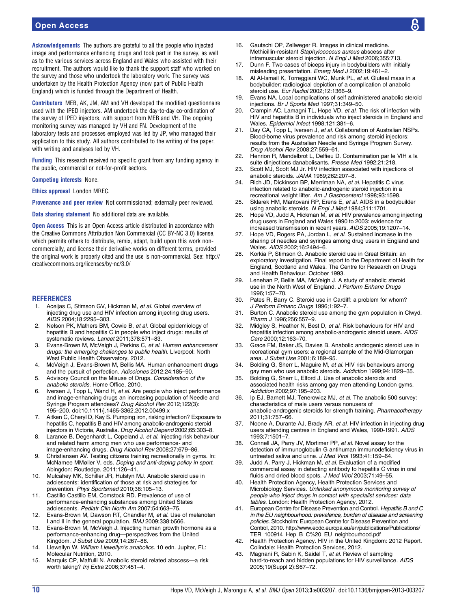Acknowledgements The authors are grateful to all the people who injected image and performance enhancing drugs and took part in the survey, as well as to the various services across England and Wales who assisted with their recruitment. The authors would like to thank the support staff who worked on the survey and those who undertook the laboratory work. The survey was undertaken by the Health Protection Agency (now part of Public Health England) which is funded through the Department of Health.

Contributors MEB, AK, JM, AM and VH developed the modified questionnaire used with the IPED injectors. AM undertook the day-to-day co-ordination of the survey of IPED injectors, with support from MEB and VH. The ongoing monitoring survey was managed by VH and FN. Development of the laboratory tests and processes employed was led by JP, who managed their application to this study. All authors contributed to the writing of the paper, with writing and analyses led by VH.

Funding This research received no specific grant from any funding agency in the public, commercial or not-for-profit sectors.

Competing interests None.

Ethics approval London MREC.

Provenance and peer review Not commissioned; externally peer reviewed.

Data sharing statement No additional data are available.

**Open Access** This is an Open Access article distributed in accordance with the Creative Commons Attribution Non Commercial (CC BY-NC 3.0) license, which permits others to distribute, remix, adapt, build upon this work noncommercially, and license their derivative works on different terms, provided the original work is properly cited and the use is non-commercial. See: [http://](http://creativecommons.org/licenses/by-nc/3.0/) [creativecommons.org/licenses/by-nc/3.0/](http://creativecommons.org/licenses/by-nc/3.0/)

#### **REFERENCES**

- Aceijas C, Stimson GV, Hickman M, et al. Global overview of injecting drug use and HIV infection among injecting drug users. AIDS 2004;18:2295–303.
- 2. Nelson PK, Mathers BM, Cowie B, et al. Global epidemiology of hepatitis B and hepatitis C in people who inject drugs: results of systematic reviews. Lancet 2011;378:571–83.
- 3. Evans-Brown M, McVeigh J, Perkins C, et al. Human enhancement drugs: the emerging challenges to public health. Liverpool: North West Public Health Observatory, 2012.
- 4. McVeigh J, Evans-Brown M, Bellis MA. Human enhancement drugs and the pursuit of perfection. Adicciones 2012;24:185–90.
- 5. Advisory Council on the Misuse of Drugs. Consideration of the anabolic steroids. Home Office, 2010.
- 6. Iversen J, Topp L, Wand H, et al. Are people who inject performance and image-enhancing drugs an increasing population of Needle and Syringe Program attendees? Drug Alcohol Rev 2012;122(3): 195–200. doi:[10.1111/j.1465-3362.2012.00499.x](http://dx.doi.org/10.1111/j.1465-3362.2012.00499.x)
- 7. Aitken C, Cheryl D, Kay S. Pumping iron, risking infection? Exposure to hepatitis C, hepatitis B and HIV among anabolic-androgenic steroid injectors in Victoria, Australia. Drug Alcohol Depend 2002;65:303–8.
- 8. Larance B, Degenhardt L, Copeland J, et al. Injecting risk behaviour and related harm among men who use performance- and image-enhancing drugs. Drug Alcohol Rev 2008;27:679–86.
- 9. Christiansen AV. Testing citizens training recreationally in gyms. In: McNamee MMøller V, eds. Doping and anti-doping policy in sport. Abingdon: Routledge, 2011:126–41.
- 10. Mulcahey MK, Schiller JR, Hulstyn MJ. Anabolic steroid use in adolescents: identification of those at risk and strategies for prevention. Phys Sportsmed 2010;38:105–13.
- 11. Castillo Castillo EM, Comstock RD. Prevalence of use of performance-enhancing substances among United States adolescents. Pediatr Clin North Am 2007;54:663–75.
- 12. Evans-Brown M, Dawson RT, Chandler M, et al. Use of melanotan I and II in the general population. BMJ 2009;338:b566.
- 13. Evans-Brown M, McVeigh J. Injecting human growth hormone as a performance-enhancing drug—perspectives from the United Kingdom. J Subst Use 2009;14:267–88.
- 14. Llewellyn W. William Llewellyn's anabolics. 10 edn. Jupiter, FL: Molecular Nutrition, 2010.
- 15. Marquis CP, Maffulli N. Anabolic steroid related abscess—a risk worth taking? Inj Extra 2006;37:451–4.
- 16. Gautschi OP, Zellweger R. Images in clinical medicine. Methicillin-resistant Staphylococcus aureus abscess after intramuscular steroid injection. N Engl J Med 2006;355:713.
- 17. Dunn F. Two cases of biceps injury in bodybuilders with initially misleading presentation. Emerg Med J 2002;19:461–2.
- 18. Al Al-Ismail K, Torreggiani WC, Munk PL, et al. Gluteal mass in a bodybuilder: radiological depiction of a complication of anabolic steroid use. Eur Radiol 2002;12:1366-9.
- 19. Evans NA. Local complications of self administered anabolic steroid injections. Br J Sports Med 1997;31:349–50.
- 20. Crampin AC, Lamagni TL, Hope VD, et al. The risk of infection with HIV and hepatitis B in individuals who inject steroids in England and Wales. Epidemiol Infect 1998;121:381–6.
- 21. Day CA, Topp L, Iversen J, et al. Collaboration of Australian NSPs. Blood-borne virus prevalence and risk among steroid injectors: results from the Australian Needle and Syringe Program Survey. Drug Alcohol Rev 2008;27:559–61.
- 22. Henrion R, Mandelbrot L, Delfieu D. Contamination par le VIH a la suite dinjections danabolisants. Presse Med 1992;21:218.
- 23. Scott MJ, Scott MJ Jr. HIV infection associated with injections of anabolic steroids. JAMA 1989;262:207–8.
- 24. Rich JD, Dickinson BP, Merriman NA, et al. Hepatitis C virus infection related to anabolic-androgenic steroid injection in a recreational weight lifter. Am J Gastroenterol 1998;93:1598.
- 25. Sklarek HM, Mantovani RP, Erens E, et al. AIDS in a bodybuilder using anabolic steroids. N Engl J Med 1984;311:1701.
- 26. Hope VD, Judd A, Hickman M, et al. HIV prevalence among injecting drug users in England and Wales 1990 to 2003: evidence for increased transmission in recent years. AIDS 2005;19:1207–14.
- 27. Hope VD, Rogers PA, Jordan L, et al. Sustained increase in the sharing of needles and syringes among drug users in England and Wales. AIDS 2002;16:2494–6.
- 28. Korkia P, Stimson G. Anabolic steroid use in Great Britain: an exploratory investigation. Final report to the Department of Health for England, Scotland and Wales. The Centre for Research on Drugs and Health Behaviour. October 1993.
- 29. Lenehan P, Bellis MA, McVeigh J. A study of anabolic steroid use in the North West of England. J Perform Enhanc Drugs 1996;1:57–70.
- 30. Pates R, Barry C. Steroid use in Cardiff: a problem for whom? J Perform Enhanc Drugs 1996;1:92–7.
- 31. Burton C. Anabolic steroid use among the gym population in Clwyd. Pharm J 1996;256:557–9.
- 32. Midgley S, Heather N, Best D, et al. Risk behaviours for HIV and hepatitis infection among anabolic-androgenic steroid users. AIDS Care 2000;12:163–70.
- 33. Grace FM, Baker JS, Davies B. Anabolic androgenic steroid use in recreational gym users: a regional sample of the Mid-Glamorgan area. J Subst Use 2001;6:189–95.
- 34. Bolding G, Sherr L, Maguire M, et al. HIV risk behaviours among gay men who use anabolic steroids. Addiction 1999;94:1829–35.
- 35. Bolding G, Sherr L, Elford J. Use of anabolic steroids and associated health risks among gay men attending London gyms. Addiction 2002;97:195–203.
- 36. Ip EJ, Barnett MJ, Tenerowicz MJ, et al. The anabolic 500 survey: characteristics of male users versus nonusers of anabolic-androgenic steroids for strength training. Pharmacotherapy 2011;31:757–66.
- 37. Noone A, Durante AJ, Brady AR, et al. HIV infection in injecting drug users attending centres in England and Wales, 1990-1991. AIDS 1993;7:1501–7.
- 38. Connell JA, Parry JV, Mortimer PP, et al. Novel assay for the detection of immunoglobulin G antihuman immunodeficiency virus in untreated saliva and urine. J Med Virol 1993;41:159–64.
- 39. Judd A, Parry J, Hickman M, et al. Evaluation of a modified commercial assay in detecting antibody to hepatitis C virus in oral fluids and dried blood spots. J Med Virol 2003;71:49-55.
- 40. Health Protection Agency, Health Protection Services and Microbiology Services. Unlinked anonymous monitoring survey of people who inject drugs in contact with specialist services: data tables. London: Health Protection Agency, 2012.
- 41. European Centre for Disease Prevention and Control. Hepatitis B and C in the EU neighbourhood: prevalence, burden of disease and screening policies. Stockholm: European Centre for Disease Prevention and Control, 2010. [http://www.ecdc.europa.eu/en/publications/Publications/](http://www.ecdc.europa.eu/en/publications/Publications/TER_100914_Hep_B_C%20_EU_neighbourhood.pdf) [TER\\_100914\\_Hep\\_B\\_C%20\\_EU\\_neighbourhood.pdf](http://www.ecdc.europa.eu/en/publications/Publications/TER_100914_Hep_B_C%20_EU_neighbourhood.pdf)
- 42. Health Protection Agency. HIV in the United Kingdom: 2012 Report. Colindale: Health Protection Services, 2012.
- 43. Magnani R, Sabin K, Saidel T, et al. Review of sampling hard-to-reach and hidden populations for HIV surveillance. AIDS 2005;19(Suppl 2):S67–72.